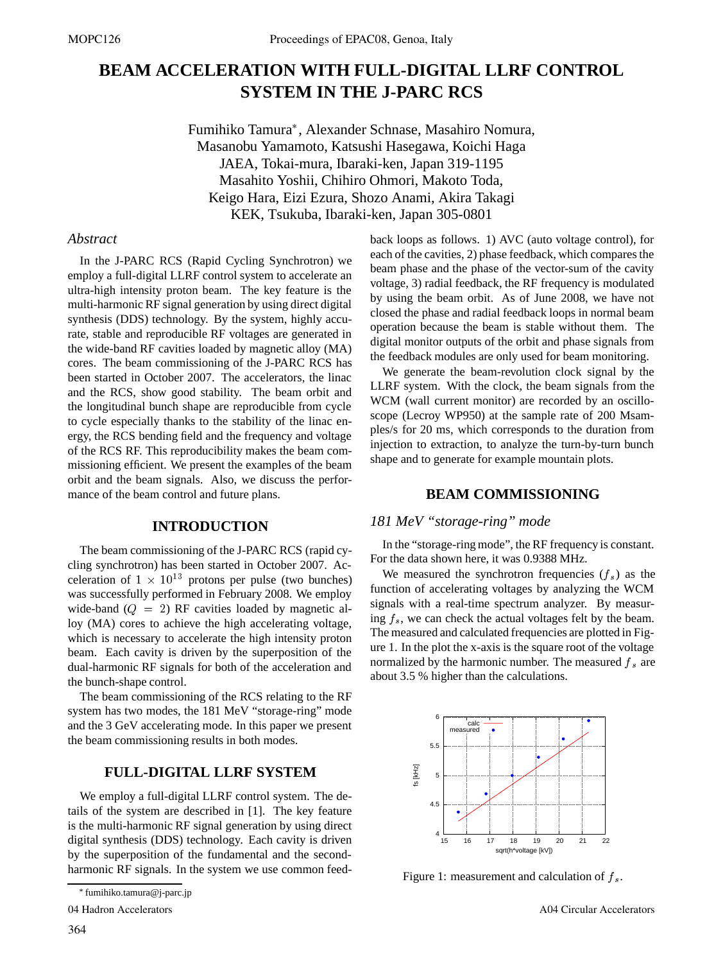# **BEAM ACCELERATION WITH FULL-DIGITAL LLRF CONTROL SYSTEM IN THE J-PARC RCS**

Fumihiko Tamura , Alexander Schnase, Masahiro Nomura, Masanobu Yamamoto, Katsushi Hasegawa, Koichi Haga JAEA, Tokai-mura, Ibaraki-ken, Japan 319-1195 Masahito Yoshii, Chihiro Ohmori, Makoto Toda, Keigo Hara, Eizi Ezura, Shozo Anami, Akira Takagi KEK, Tsukuba, Ibaraki-ken, Japan 305-0801

### *Abstract*

In the J-PARC RCS (Rapid Cycling Synchrotron) we employ a full-digital LLRF control system to accelerate an ultra-high intensity proton beam. The key feature is the multi-harmonic RF signal generation by using direct digital synthesis (DDS) technology. By the system, highly accurate, stable and reproducible RF voltages are generated in the wide-band RF cavities loaded by magnetic alloy (MA) cores. The beam commissioning of the J-PARC RCS has been started in October 2007. The accelerators, the linac and the RCS, show good stability. The beam orbit and the longitudinal bunch shape are reproducible from cycle to cycle especially thanks to the stability of the linac energy, the RCS bending field and the frequency and voltage of the RCS RF. This reproducibility makes the beam commissioning efficient. We present the examples of the beam orbit and the beam signals. Also, we discuss the performance of the beam control and future plans.

# **INTRODUCTION**

The beam commissioning of the J-PARC RCS (rapid cycling synchrotron) has been started in October 2007. Acceleration of  $1 \times 10^{13}$  protons per pulse (two bunches) was successfully performed in February 2008. We employ wide-band  $(Q = 2)$  RF cavities loaded by magnetic alloy (MA) cores to achieve the high accelerating voltage, which is necessary to accelerate the high intensity proton beam. Each cavity is driven by the superposition of the dual-harmonic RF signals for both of the acceleration and the bunch-shape control.

The beam commissioning of the RCS relating to the RF system has two modes, the 181 MeV "storage-ring" mode and the 3 GeV accelerating mode. In this paper we present the beam commissioning results in both modes.

# **FULL-DIGITAL LLRF SYSTEM**

We employ a full-digital LLRF control system. The details of the system are described in [1]. The key feature is the multi-harmonic RF signal generation by using direct digital synthesis (DDS) technology. Each cavity is driven by the superposition of the fundamental and the secondharmonic RF signals. In the system we use common feed-

04 Hadron Accelerators

364

back loops as follows. 1) AVC (auto voltage control), for each of the cavities, 2) phase feedback, which compares the beam phase and the phase of the vector-sum of the cavity voltage, 3) radial feedback, the RF frequency is modulated by using the beam orbit. As of June 2008, we have not closed the phase and radial feedback loops in normal beam operation because the beam is stable without them. The digital monitor outputs of the orbit and phase signals from the feedback modules are only used for beam monitoring.

We generate the beam-revolution clock signal by the LLRF system. With the clock, the beam signals from the WCM (wall current monitor) are recorded by an oscilloscope (Lecroy WP950) at the sample rate of 200 Msamples/s for 20 ms, which corresponds to the duration from injection to extraction, to analyze the turn-by-turn bunch shape and to generate for example mountain plots.

#### **BEAM COMMISSIONING**

# *181 MeV "storage-ring" mode*

In the "storage-ring mode", the RF frequency is constant. For the data shown here, it was 0.9388 MHz.

We measured the synchrotron frequencies  $(f_s)$  as the function of accelerating voltages by analyzing the WCM signals with a real-time spectrum analyzer. By measuring  $f_s$ , we can check the actual voltages felt by the beam. The measured and calculated frequencies are plotted in Figure 1. In the plot the x-axis is the square root of the voltage normalized by the harmonic number. The measured  $f_s$  are about 3.5 % higher than the calculations.



Figure 1: measurement and calculation of  $f_s$ .

fumihiko.tamura@j-parc.jp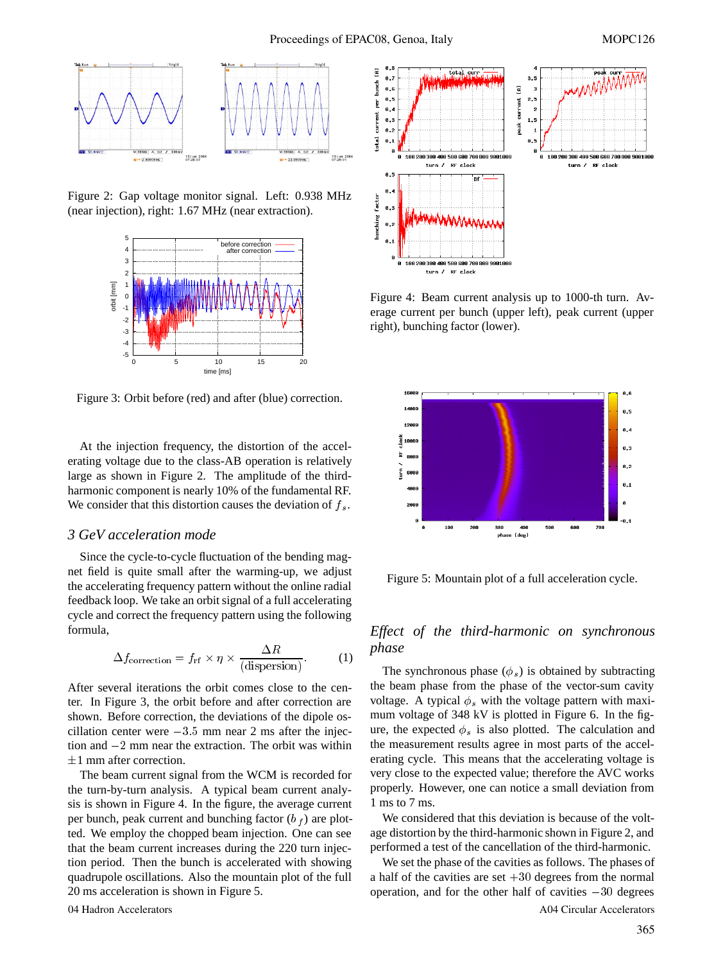

Figure 2: Gap voltage monitor signal. Left: 0.938 MHz (near injection), right: 1.67 MHz (near extraction).



Figure 3: Orbit before (red) and after (blue) correction.

At the injection frequency, the distortion of the accelerating voltage due to the class-AB operation is relatively large as shown in Figure 2. The amplitude of the thirdharmonic component is nearly 10% of the fundamental RF. We consider that this distortion causes the deviation of  $f_s$ .

#### *3 GeV acceleration mode*

Since the cycle-to-cycle fluctuation of the bending magnet field is quite small after the warming-up, we adjust the accelerating frequency pattern without the online radial feedback loop. We take an orbit signal of a full accelerating cycle and correct the frequency pattern using the following formula,

$$
\Delta f_{\text{correction}} = f_{\text{rf}} \times \eta \times \frac{\Delta R}{\text{(dispersion)}}.
$$
 (1)

After several iterations the orbit comes close to the center. In Figure 3, the orbit before and after correction are shown. Before correction, the deviations of the dipole oscillation center were  $-3.5$  mm near 2 ms after the injection and  $-2$  mm near the extraction. The orbit was within  $\pm 1$  mm after correction.

The beam current signal from the WCM is recorded for the turn-by-turn analysis. A typical beam current analysis is shown in Figure 4. In the figure, the average current per bunch, peak current and bunching factor  $(b_f)$  are plotted. We employ the chopped beam injection. One can see that the beam current increases during the 220 turn injection period. Then the bunch is accelerated with showing quadrupole oscillations. Also the mountain plot of the full 20 ms acceleration is shown in Figure 5.



Figure 4: Beam current analysis up to 1000-th turn. Average current per bunch (upper left), peak current (upper right), bunching factor (lower).



Figure 5: Mountain plot of a full acceleration cycle.

# *Effect of the third-harmonic on synchronous phase*

The synchronous phase  $(\phi_s)$  is obtained by subtracting the beam phase from the phase of the vector-sum cavity voltage. A typical  $\phi_s$  with the voltage pattern with maximum voltage of 348 kV is plotted in Figure 6. In the figure, the expected  $\phi_s$  is also plotted. The calculation and the measurement results agree in most parts of the accelerating cycle. This means that the accelerating voltage is very close to the expected value; therefore the AVC works properly. However, one can notice a small deviation from 1 ms to 7 ms.

We considered that this deviation is because of the voltage distortion by the third-harmonic shown in Figure 2, and performed a test of the cancellation of the third-harmonic.

We set the phase of the cavities as follows. The phases of a half of the cavities are set  $+30$  degrees from the normal operation, and for the other half of cavities  $-30$  degrees 04 Hadron Accelerators A04 Circular Accelerators